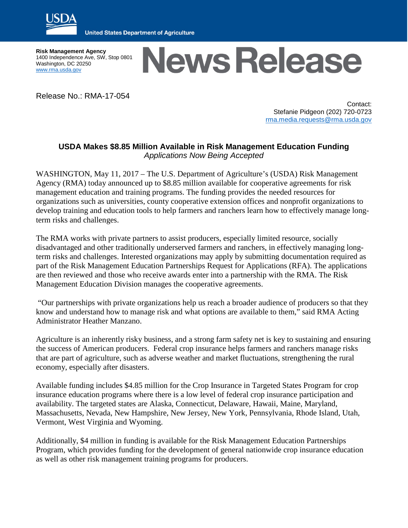

**United States Department of Agriculture** 

**Risk Management Agency** 1400 Independence Ave, SW, Stop 0801 Washington, DC 20250 [www.rma.usda.gov](http://www.rma.usda.gov/)

## **News Release**

Release No.: RMA-17-054

Contact: Stefanie Pidgeon (202) 720-0723 [rma.media.requests@rma.usda.gov](mailto:rma.media.requests@rma.usda.gov)

## **USDA Makes \$8.85 Million Available in Risk Management Education Funding** *Applications Now Being Accepted*

WASHINGTON, May 11, 2017 – The U.S. Department of Agriculture's (USDA) Risk Management Agency (RMA) today announced up to \$8.85 million available for cooperative agreements for risk management education and training programs. The funding provides the needed resources for organizations such as universities, county cooperative extension offices and nonprofit organizations to develop training and education tools to help farmers and ranchers learn how to effectively manage longterm risks and challenges.

The RMA works with private partners to assist producers, especially limited resource, socially disadvantaged and other traditionally underserved farmers and ranchers, in effectively managing longterm risks and challenges. Interested organizations may apply by submitting documentation required as part of the Risk Management Education Partnerships Request for Applications (RFA). The applications are then reviewed and those who receive awards enter into a partnership with the RMA. The Risk Management Education Division manages the cooperative agreements.

"Our partnerships with private organizations help us reach a broader audience of producers so that they know and understand how to manage risk and what options are available to them," said RMA Acting Administrator Heather Manzano.

Agriculture is an inherently risky business, and a strong farm safety net is key to sustaining and ensuring the success of American producers. Federal crop insurance helps farmers and ranchers manage risks that are part of agriculture, such as adverse weather and market fluctuations, strengthening the rural economy, especially after disasters.

Available funding includes \$4.85 million for the Crop Insurance in Targeted States Program for crop insurance education programs where there is a low level of federal crop insurance participation and availability. The targeted states are Alaska, Connecticut, Delaware, Hawaii, Maine, Maryland, Massachusetts, Nevada, New Hampshire, New Jersey, New York, Pennsylvania, Rhode Island, Utah, Vermont, West Virginia and Wyoming.

Additionally, \$4 million in funding is available for the Risk Management Education Partnerships Program, which provides funding for the development of general nationwide crop insurance education as well as other risk management training programs for producers.